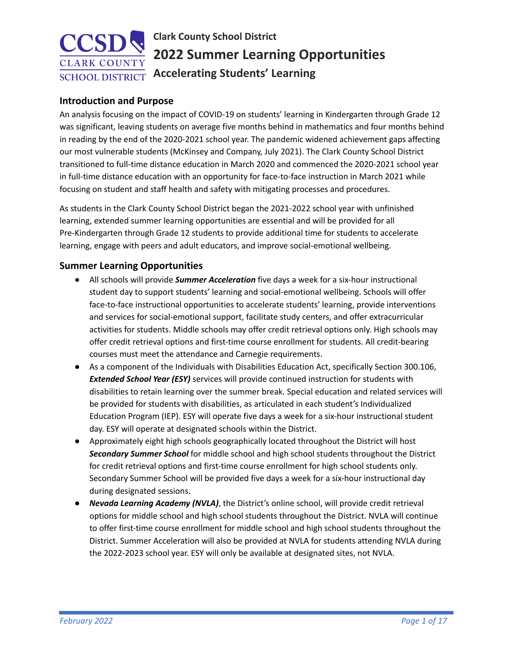# **Clark County School District 2022 Summer Learning Opportunities Accelerating Students' Learning**

# **Introduction and Purpose**

An analysis focusing on the impact of COVID-19 on students' learning in Kindergarten through Grade 12 was significant, leaving students on average five months behind in mathematics and four months behind in reading by the end of the 2020-2021 school year. The pandemic widened achievement gaps affecting our most vulnerable students (McKinsey and Company, July 2021). The Clark County School District transitioned to full-time distance education in March 2020 and commenced the 2020-2021 school year in full-time distance education with an opportunity for face-to-face instruction in March 2021 while focusing on student and staff health and safety with mitigating processes and procedures.

As students in the Clark County School District began the 2021-2022 school year with unfinished learning, extended summer learning opportunities are essential and will be provided for all Pre-Kindergarten through Grade 12 students to provide additional time for students to accelerate learning, engage with peers and adult educators, and improve social-emotional wellbeing.

# **Summer Learning Opportunities**

- All schools will provide *Summer Acceleration* five days a week for a six-hour instructional student day to support students' learning and social-emotional wellbeing. Schools will offer face-to-face instructional opportunities to accelerate students' learning, provide interventions and services for social-emotional support, facilitate study centers, and offer extracurricular activities for students. Middle schools may offer credit retrieval options only. High schools may offer credit retrieval options and first-time course enrollment for students. All credit-bearing courses must meet the attendance and Carnegie requirements.
- As a component of the Individuals with Disabilities Education Act, specifically Section 300.106, *Extended School Year (ESY)* services will provide continued instruction for students with disabilities to retain learning over the summer break. Special education and related services will be provided for students with disabilities, as articulated in each student's Individualized Education Program (IEP). ESY will operate five days a week for a six-hour instructional student day. ESY will operate at designated schools within the District.
- Approximately eight high schools geographically located throughout the District will host *Secondary Summer School* for middle school and high school students throughout the District for credit retrieval options and first-time course enrollment for high school students only. Secondary Summer School will be provided five days a week for a six-hour instructional day during designated sessions.
- *Nevada Learning Academy (NVLA)*, the District's online school, will provide credit retrieval options for middle school and high school students throughout the District. NVLA will continue to offer first-time course enrollment for middle school and high school students throughout the District. Summer Acceleration will also be provided at NVLA for students attending NVLA during the 2022-2023 school year. ESY will only be available at designated sites, not NVLA.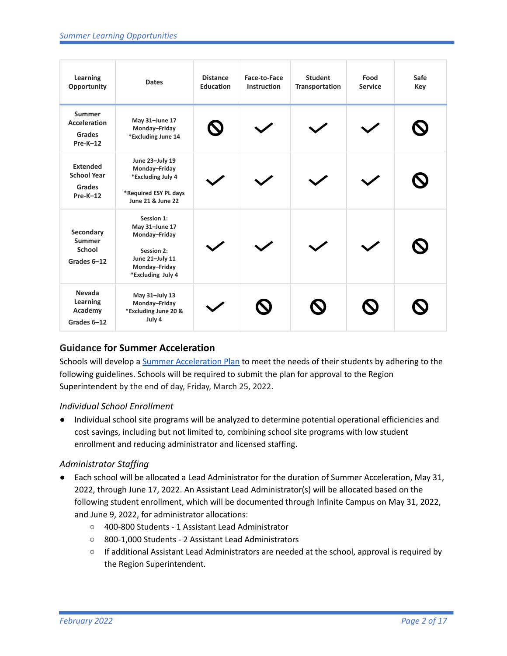| Learning<br>Opportunity                                             | <b>Dates</b>                                                                                                         | <b>Distance</b><br><b>Education</b> | Face-to-Face<br><b>Instruction</b> | <b>Student</b><br><b>Transportation</b> | Food<br><b>Service</b> | Safe<br>Key |
|---------------------------------------------------------------------|----------------------------------------------------------------------------------------------------------------------|-------------------------------------|------------------------------------|-----------------------------------------|------------------------|-------------|
| <b>Summer</b><br><b>Acceleration</b><br><b>Grades</b><br>$Pre-K-12$ | May 31-June 17<br>Monday-Friday<br>*Excluding June 14                                                                | $\boldsymbol{\mathsf{Q}}$           |                                    |                                         |                        |             |
| <b>Extended</b><br><b>School Year</b><br>Grades<br>$Pre-K-12$       | June 23-July 19<br>Monday-Friday<br>*Excluding July 4<br>*Required ESY PL days<br>June 21 & June 22                  |                                     |                                    |                                         |                        |             |
| Secondary<br><b>Summer</b><br><b>School</b><br>Grades 6-12          | Session 1:<br>May 31-June 17<br>Monday-Friday<br>Session 2:<br>June 21-July 11<br>Monday-Friday<br>*Excluding July 4 |                                     |                                    |                                         |                        |             |
| Nevada<br>Learning<br>Academy<br>Grades 6-12                        | May 31-July 13<br>Monday-Friday<br>*Excluding June 20 &<br>July 4                                                    |                                     |                                    |                                         |                        |             |

# **Guidance for Summer Acceleration**

Schools will develop a Summer [Acceleration](https://forms.gle/jJ4XJ2tjjHXjmfgD9) Plan to meet the needs of their students by adhering to the following guidelines. Schools will be required to submit the plan for approval to the Region Superintendent by the end of day, Friday, March 25, 2022.

# *Individual School Enrollment*

● Individual school site programs will be analyzed to determine potential operational efficiencies and cost savings, including but not limited to, combining school site programs with low student enrollment and reducing administrator and licensed staffing.

# *Administrator Staffing*

- Each school will be allocated a Lead Administrator for the duration of Summer Acceleration, May 31, 2022, through June 17, 2022. An Assistant Lead Administrator(s) will be allocated based on the following student enrollment, which will be documented through Infinite Campus on May 31, 2022, and June 9, 2022, for administrator allocations:
	- 400-800 Students 1 Assistant Lead Administrator
	- 800-1,000 Students 2 Assistant Lead Administrators
	- If additional Assistant Lead Administrators are needed at the school, approval is required by the Region Superintendent.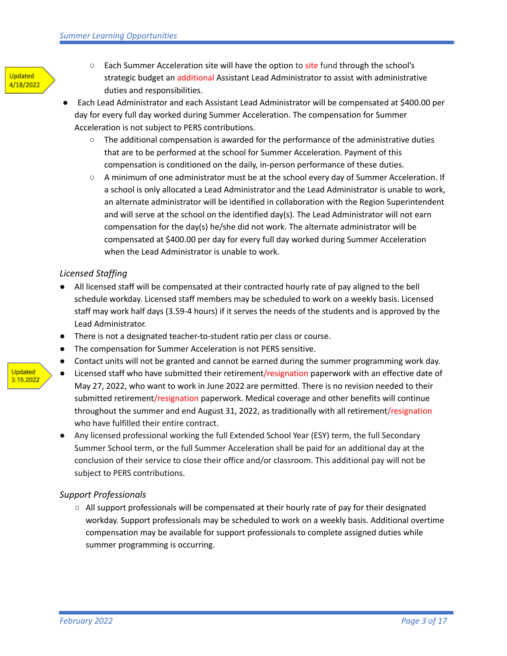

- Each Summer Acceleration site will have the option to site fund through the school's strategic budget an additional Assistant Lead Administrator to assist with administrative duties and responsibilities.
- Each Lead Administrator and each Assistant Lead Administrator will be compensated at \$400.00 per day for every full day worked during Summer Acceleration. The compensation for Summer Acceleration is not subject to PERS contributions.
	- The additional compensation is awarded for the performance of the administrative duties that are to be performed at the school for Summer Acceleration. Payment of this compensation is conditioned on the daily, in-person performance of these duties.
	- A minimum of one administrator must be at the school every day of Summer Acceleration. If a school is only allocated a Lead Administrator and the Lead Administrator is unable to work, an alternate administrator will be identified in collaboration with the Region Superintendent and will serve at the school on the identified day(s). The Lead Administrator will not earn compensation for the day(s) he/she did not work. The alternate administrator will be compensated at \$400.00 per day for every full day worked during Summer Acceleration when the Lead Administrator is unable to work.

### *Licensed Staffing*

- All licensed staff will be compensated at their contracted hourly rate of pay aligned to the bell schedule workday. Licensed staff members may be scheduled to work on a weekly basis. Licensed staff may work half days (3.59-4 hours) if it serves the needs of the students and is approved by the Lead Administrator.
- There is not a designated teacher-to-student ratio per class or course.
- The compensation for Summer Acceleration is not PERS sensitive.
- Contact units will not be granted and cannot be earned during the summer programming work day.
- Licensed staff who have submitted their retirement/resignation paperwork with an effective date of May 27, 2022, who want to work in June 2022 are permitted. There is no revision needed to their submitted retirement/resignation paperwork. Medical coverage and other benefits will continue throughout the summer and end August 31, 2022, as traditionally with all retirement/resignation who have fulfilled their entire contract.
- Any licensed professional working the full Extended School Year (ESY) term, the full Secondary Summer School term, or the full Summer Acceleration shall be paid for an additional day at the conclusion of their service to close their office and/or classroom. This additional pay will not be subject to PERS contributions.

### *Support Professionals*

 $\circ$  All support professionals will be compensated at their hourly rate of pay for their designated workday. Support professionals may be scheduled to work on a weekly basis. Additional overtime compensation may be available for support professionals to complete assigned duties while summer programming is occurring.

Updated 3.15.2022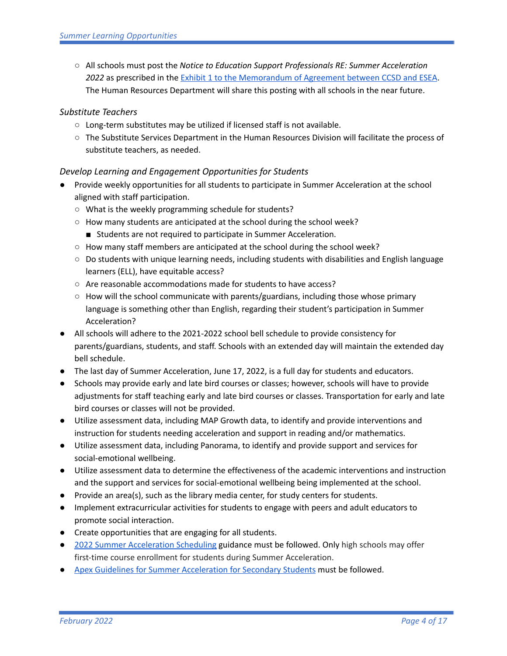○ All schools must post the *Notice to Education Support Professionals RE: Summer Acceleration* 2022 as prescribed in the **Exhibit 1 to the [Memorandum](https://drive.google.com/file/d/1PQmLEdeq2VKuoNyBGivNEjPpdCmAXp1P/view) of Agreement between CCSD and ESEA**. The Human Resources Department will share this posting with all schools in the near future.

# *Substitute Teachers*

- Long-term substitutes may be utilized if licensed staff is not available.
- The Substitute Services Department in the Human Resources Division will facilitate the process of substitute teachers, as needed.

# *Develop Learning and Engagement Opportunities for Students*

- Provide weekly opportunities for all students to participate in Summer Acceleration at the school aligned with staff participation.
	- What is the weekly programming schedule for students?
	- How many students are anticipated at the school during the school week?
		- Students are not required to participate in Summer Acceleration.
	- How many staff members are anticipated at the school during the school week?
	- Do students with unique learning needs, including students with disabilities and English language learners (ELL), have equitable access?
	- Are reasonable accommodations made for students to have access?
	- How will the school communicate with parents/guardians, including those whose primary language is something other than English, regarding their student's participation in Summer Acceleration?
- All schools will adhere to the 2021-2022 school bell schedule to provide consistency for parents/guardians, students, and staff. Schools with an extended day will maintain the extended day bell schedule.
- The last day of Summer Acceleration, June 17, 2022, is a full day for students and educators.
- Schools may provide early and late bird courses or classes; however, schools will have to provide adjustments for staff teaching early and late bird courses or classes. Transportation for early and late bird courses or classes will not be provided.
- Utilize assessment data, including MAP Growth data, to identify and provide interventions and instruction for students needing acceleration and support in reading and/or mathematics.
- *●* Utilize assessment data, including Panorama, to identify and provide support and services for social-emotional wellbeing.
- Utilize assessment data to determine the effectiveness of the academic interventions and instruction and the support and services for social-emotional wellbeing being implemented at the school.
- *●* Provide an area(s), such as the library media center, for study centers for students.
- *●* Implement extracurricular activities for students to engage with peers and adult educators to promote social interaction.
- *●* Create opportunities that are engaging for all students.
- *●* 2022 Summer [Acceleration](https://drive.google.com/file/d/1MA4SBd6RR0ZImjd7RjYmfw3sKXl0okAu/view) Scheduling guidance must be followed. Only high schools may offer first-time course enrollment for students during Summer Acceleration.
- Apex Guidelines for Summer [Acceleration](https://docs.google.com/document/d/1M0UBhZwF8Egw4Hw4FTHEuBKrCRxc-ZbYuitTkIp0quQ/edit?usp=sharing) for Secondary Students must be followed.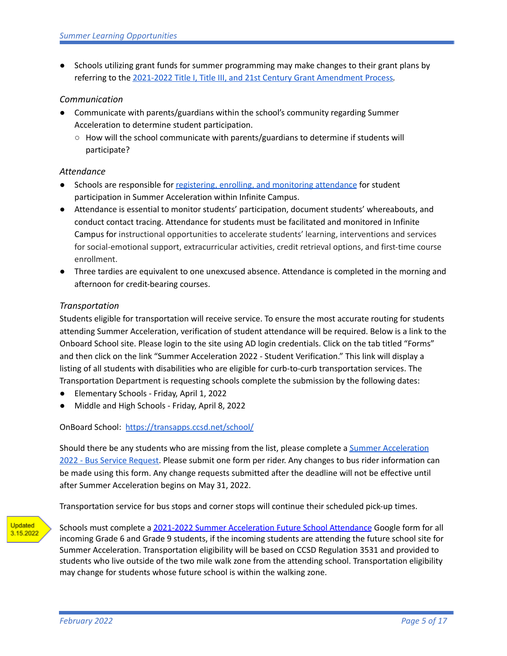● Schools utilizing grant funds for summer programming may make changes to their grant plans by referring to the 2021-2022 Title I, Title III, and 21st Century Grant [Amendment](https://drive.google.com/file/d/1teSI5CayAvmY6iu8RFP4ZaeH8PalwOMx/view?usp=sharing) Process*.*

### *Communication*

- Communicate with parents/guardians within the school's community regarding Summer Acceleration to determine student participation.
	- $\circ$  How will the school communicate with parents/guardians to determine if students will participate?

# *Attendance*

- Schools are responsible for [registering,](https://sites.google.com/nv.ccsd.net/student-record-services/resources/summer-learning-opportunities) enrolling, and monitoring attendance for student participation in Summer Acceleration within Infinite Campus.
- Attendance is essential to monitor students' participation, document students' whereabouts, and conduct contact tracing. Attendance for students must be facilitated and monitored in Infinite Campus for instructional opportunities to accelerate students' learning, interventions and services for social-emotional support, extracurricular activities, credit retrieval options, and first-time course enrollment.
- Three tardies are equivalent to one unexcused absence. Attendance is completed in the morning and afternoon for credit-bearing courses.

# *Transportation*

Students eligible for transportation will receive service. To ensure the most accurate routing for students attending Summer Acceleration, verification of student attendance will be required. Below is a link to the Onboard School site. Please login to the site using AD login credentials. Click on the tab titled "Forms" and then click on the link "Summer Acceleration 2022 - Student Verification." This link will display a listing of all students with disabilities who are eligible for curb-to-curb transportation services. The Transportation Department is requesting schools complete the submission by the following dates:

- Elementary Schools Friday, April 1, 2022
- Middle and High Schools Friday, April 8, 2022

OnBoard School: <https://transapps.ccsd.net/school/>

Should there be any students who are missing from the list, please complete a Summer [Acceleration](https://forms.gle/pP6E6cbz5i1c6uP17) 2022 - Bus Service [Request.](https://forms.gle/pP6E6cbz5i1c6uP17) Please submit one form per rider. Any changes to bus rider information can be made using this form. Any change requests submitted after the deadline will not be effective until after Summer Acceleration begins on May 31, 2022.

Transportation service for bus stops and corner stops will continue their scheduled pick-up times.



Schools must complete a 2021-2022 Summer [Acceleration](https://forms.gle/g4UQvEeV45TtaWzMA) Future School Attendance Google form for all incoming Grade 6 and Grade 9 students, if the incoming students are attending the future school site for Summer Acceleration. Transportation eligibility will be based on CCSD Regulation 3531 and provided to students who live outside of the two mile walk zone from the attending school. Transportation eligibility may change for students whose future school is within the walking zone.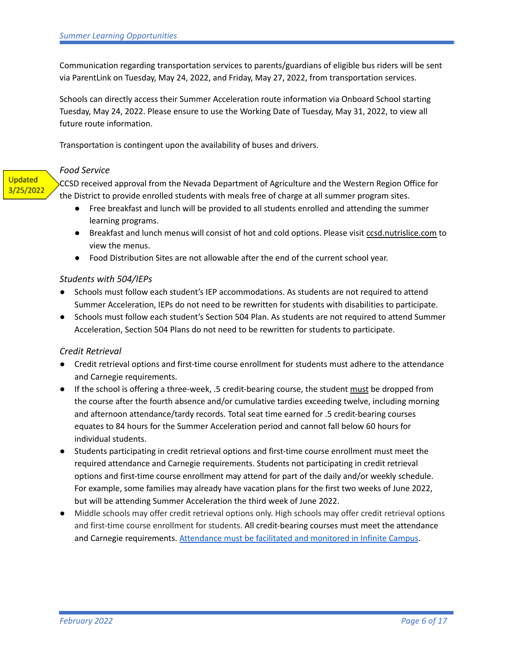Communication regarding transportation services to parents/guardians of eligible bus riders will be sent via ParentLink on Tuesday, May 24, 2022, and Friday, May 27, 2022, from transportation services.

Schools can directly access their Summer Acceleration route information via Onboard School starting Tuesday, May 24, 2022. Please ensure to use the Working Date of Tuesday, May 31, 2022, to view all future route information.

Transportation is contingent upon the availability of buses and drivers.

#### *Food Service*

**Updated** 3/25/2022

CCSD received approval from the Nevada Department of Agriculture and the Western Region Office for the District to provide enrolled students with meals free of charge at all summer program sites.

- Free breakfast and lunch will be provided to all students enrolled and attending the summer learning programs.
- Breakfast and lunch menus will consist of hot and cold options. Please visit [ccsd.nutrislice.com](http://ccsd.nutrislice.com/) to view the menus.
- Food Distribution Sites are not allowable after the end of the current school year.

### *Students with 504/IEPs*

- Schools must follow each student's IEP accommodations. As students are not required to attend Summer Acceleration, IEPs do not need to be rewritten for students with disabilities to participate.
- Schools must follow each student's Section 504 Plan. As students are not required to attend Summer Acceleration, Section 504 Plans do not need to be rewritten for students to participate.

### *Credit Retrieval*

- Credit retrieval options and first-time course enrollment for students must adhere to the attendance and Carnegie requirements.
- If the school is offering a three-week, .5 credit-bearing course, the student must be dropped from the course after the fourth absence and/or cumulative tardies exceeding twelve, including morning and afternoon attendance/tardy records. Total seat time earned for .5 credit-bearing courses equates to 84 hours for the Summer Acceleration period and cannot fall below 60 hours for individual students.
- Students participating in credit retrieval options and first-time course enrollment must meet the required attendance and Carnegie requirements. Students not participating in credit retrieval options and first-time course enrollment may attend for part of the daily and/or weekly schedule. For example, some families may already have vacation plans for the first two weeks of June 2022, but will be attending Summer Acceleration the third week of June 2022.
- Middle schools may offer credit retrieval options only. High schools may offer credit retrieval options and first-time course enrollment for students. All credit-bearing courses must meet the attendance and Carnegie requirements. [Attendance](https://sites.google.com/nv.ccsd.net/student-record-services/resources/summer-learning-opportunities) must be facilitated and monitored in Infinite Campus.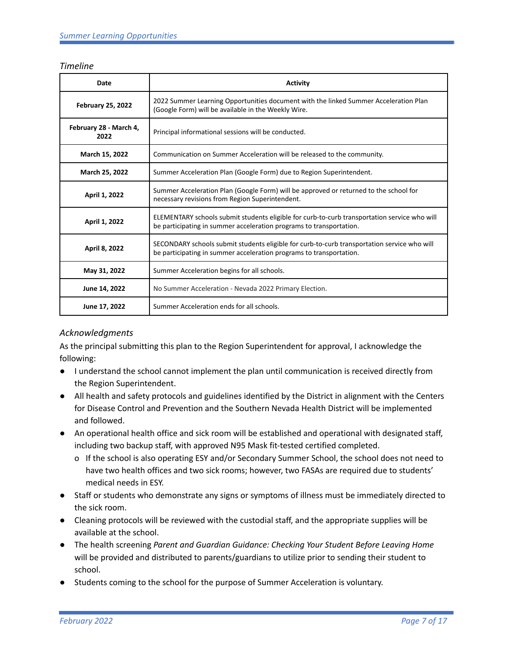#### *Timeline*

| Date                           | <b>Activity</b>                                                                                                                                                     |  |  |  |
|--------------------------------|---------------------------------------------------------------------------------------------------------------------------------------------------------------------|--|--|--|
| <b>February 25, 2022</b>       | 2022 Summer Learning Opportunities document with the linked Summer Acceleration Plan<br>(Google Form) will be available in the Weekly Wire.                         |  |  |  |
| February 28 - March 4,<br>2022 | Principal informational sessions will be conducted.                                                                                                                 |  |  |  |
| March 15, 2022                 | Communication on Summer Acceleration will be released to the community.                                                                                             |  |  |  |
| March 25, 2022                 | Summer Acceleration Plan (Google Form) due to Region Superintendent.                                                                                                |  |  |  |
| April 1, 2022                  | Summer Acceleration Plan (Google Form) will be approved or returned to the school for<br>necessary revisions from Region Superintendent.                            |  |  |  |
| April 1, 2022                  | ELEMENTARY schools submit students eligible for curb-to-curb transportation service who will<br>be participating in summer acceleration programs to transportation. |  |  |  |
| April 8, 2022                  | SECONDARY schools submit students eligible for curb-to-curb transportation service who will<br>be participating in summer acceleration programs to transportation.  |  |  |  |
| May 31, 2022                   | Summer Acceleration begins for all schools.                                                                                                                         |  |  |  |
| June 14, 2022                  | No Summer Acceleration - Nevada 2022 Primary Election.                                                                                                              |  |  |  |
| June 17, 2022                  | Summer Acceleration ends for all schools.                                                                                                                           |  |  |  |

# *Acknowledgments*

As the principal submitting this plan to the Region Superintendent for approval, I acknowledge the following:

- I understand the school cannot implement the plan until communication is received directly from the Region Superintendent.
- All health and safety protocols and guidelines identified by the District in alignment with the Centers for Disease Control and Prevention and the Southern Nevada Health District will be implemented and followed.
- An operational health office and sick room will be established and operational with designated staff, including two backup staff, with approved N95 Mask fit-tested certified completed.
	- o If the school is also operating ESY and/or Secondary Summer School, the school does not need to have two health offices and two sick rooms; however, two FASAs are required due to students' medical needs in ESY.
- Staff or students who demonstrate any signs or symptoms of illness must be immediately directed to the sick room.
- Cleaning protocols will be reviewed with the custodial staff, and the appropriate supplies will be available at the school.
- The health screening *Parent and Guardian Guidance: Checking Your Student Before Leaving Home* will be provided and distributed to parents/guardians to utilize prior to sending their student to school.
- Students coming to the school for the purpose of Summer Acceleration is voluntary.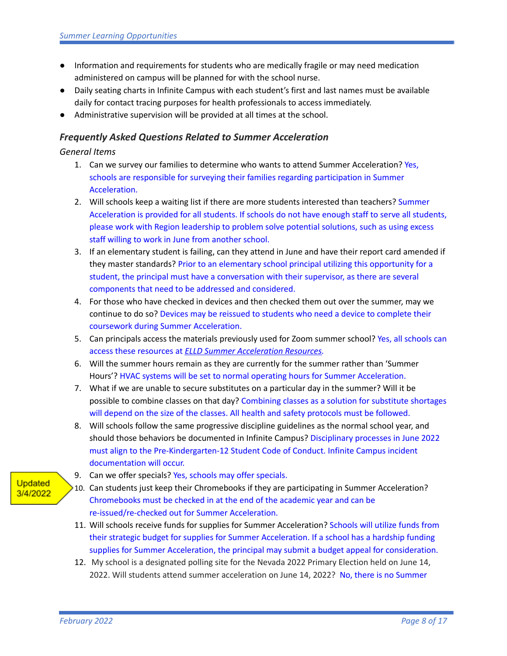- Information and requirements for students who are medically fragile or may need medication administered on campus will be planned for with the school nurse.
- Daily seating charts in Infinite Campus with each student's first and last names must be available daily for contact tracing purposes for health professionals to access immediately.
- Administrative supervision will be provided at all times at the school.

# *Frequently Asked Questions Related to Summer Acceleration*

# *General Items*

- 1. Can we survey our families to determine who wants to attend Summer Acceleration? Yes, schools are responsible for surveying their families regarding participation in Summer Acceleration.
- 2. Will schools keep a waiting list if there are more students interested than teachers? Summer Acceleration is provided for all students. If schools do not have enough staff to serve all students, please work with Region leadership to problem solve potential solutions, such as using excess staff willing to work in June from another school.
- 3. If an elementary student is failing, can they attend in June and have their report card amended if they master standards? Prior to an elementary school principal utilizing this opportunity for a student, the principal must have a conversation with their supervisor, as there are several components that need to be addressed and considered.
- 4. For those who have checked in devices and then checked them out over the summer, may we continue to do so? Devices may be reissued to students who need a device to complete their coursework during Summer Acceleration.
- 5. Can principals access the materials previously used for Zoom summer school? Yes, all schools can access these resources at *ELLD Summer [Acceleration](https://docs.google.com/document/d/1iTlC11ESxySaz3BnewrYDhLIR4mRJyos/edit) Resources.*
- 6. Will the summer hours remain as they are currently for the summer rather than 'Summer Hours'? HVAC systems will be set to normal operating hours for Summer Acceleration.
- 7. What if we are unable to secure substitutes on a particular day in the summer? Will it be possible to combine classes on that day? Combining classes as a solution for substitute shortages will depend on the size of the classes. All health and safety protocols must be followed.
- 8. Will schools follow the same progressive discipline guidelines as the normal school year, and should those behaviors be documented in Infinite Campus? Disciplinary processes in June 2022 must align to the Pre-Kindergarten-12 Student Code of Conduct. Infinite Campus incident documentation will occur.
- 9. Can we offer specials? Yes, schools may offer specials.
- 10. Can students just keep their Chromebooks if they are participating in Summer Acceleration? Chromebooks must be checked in at the end of the academic year and can be re-issued/re-checked out for Summer Acceleration.
- 11. Will schools receive funds for supplies for Summer Acceleration? Schools will utilize funds from their strategic budget for supplies for Summer Acceleration. If a school has a hardship funding supplies for Summer Acceleration, the principal may submit a budget appeal for consideration.
- 12. My school is a designated polling site for the Nevada 2022 Primary Election held on June 14, 2022. Will students attend summer acceleration on June 14, 2022? No, there is no Summer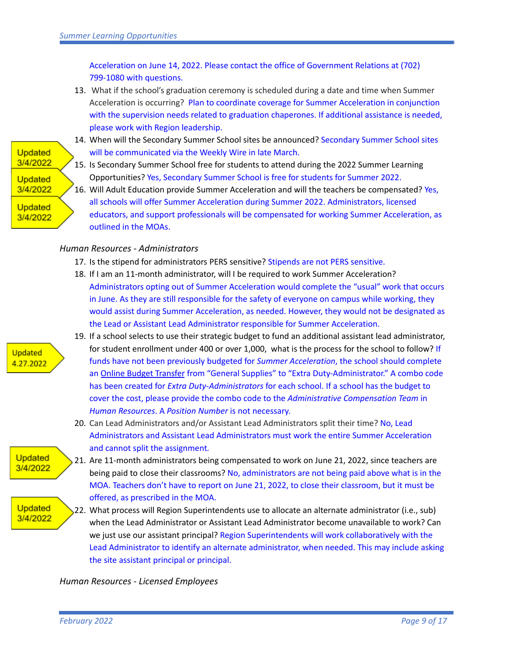Acceleration on June 14, 2022. Please contact the office of Government Relations at (702) 799-1080 with questions.

13. What if the school's graduation ceremony is scheduled during a date and time when Summer Acceleration is occurring? Plan to coordinate coverage for Summer Acceleration in conjunction with the supervision needs related to graduation chaperones. If additional assistance is needed, please work with Region leadership.

# **Updated** 3/4/2022 **Updated** 3/4/2022 **Updated** 3/4/2022

- 14. When will the Secondary Summer School sites be announced? Secondary Summer School sites will be communicated via the Weekly Wire in late March.
- 15. Is Secondary Summer School free for students to attend during the 2022 Summer Learning Opportunities? Yes, Secondary Summer School is free for students for Summer 2022.
- 16. Will Adult Education provide Summer Acceleration and will the teachers be compensated? Yes, all schools will offer Summer Acceleration during Summer 2022. Administrators, licensed educators, and support professionals will be compensated for working Summer Acceleration, as outlined in the MOAs.

# *Human Resources - Administrators*

- 17. Is the stipend for administrators PERS sensitive? Stipends are not PERS sensitive.
- 18. If I am an 11-month administrator, will I be required to work Summer Acceleration? Administrators opting out of Summer Acceleration would complete the "usual" work that occurs in June. As they are still responsible for the safety of everyone on campus while working, they would assist during Summer Acceleration, as needed. However, they would not be designated as
- 19. If a school selects to use their strategic budget to fund an additional assistant lead administrator, for student enrollment under 400 or over 1,000, what is the process for the school to follow? If funds have not been previously budgeted for *Summer Acceleration*, the school should complete an **Online Budget [Transfer](https://docs.google.com/document/d/1g1IGAudUubntzrSvzLE8AdP3kw5U5X06xH6e3yrPzyg/edit) from "General Supplies"** to "Extra Duty-Administrator." A combo code has been created for *Extra Duty-Administrators* for each school. If a school has the budget to cover the cost, please provide the combo code to the *Administrative Compensation Team* in *Human Resources*. A *Position Number* is not necessary.
- 20. Can Lead Administrators and/or Assistant Lead Administrators split their time? No, Lead Administrators and Assistant Lead Administrators must work the entire Summer Acceleration and cannot split the assignment*.*
- 21. Are 11-month administrators being compensated to work on June 21, 2022, since teachers are being paid to close their classrooms? No, administrators are not being paid above what is in the MOA. Teachers don't have to report on June 21, 2022, to close their classroom, but it must be offered, as prescribed in the MOA.
- 22. What process will Region Superintendents use to allocate an alternate administrator (i.e., sub) when the Lead Administrator or Assistant Lead Administrator become unavailable to work? Can we just use our assistant principal? Region Superintendents will work collaboratively with the Lead Administrator to identify an alternate administrator, when needed. This may include asking the site assistant principal or principal.

### *Human Resources - Licensed Employees*

the Lead or Assistant Lead Administrator responsible for Summer Acceleration.



**Updated** 4.27.2022

> **Updated** 3/4/2022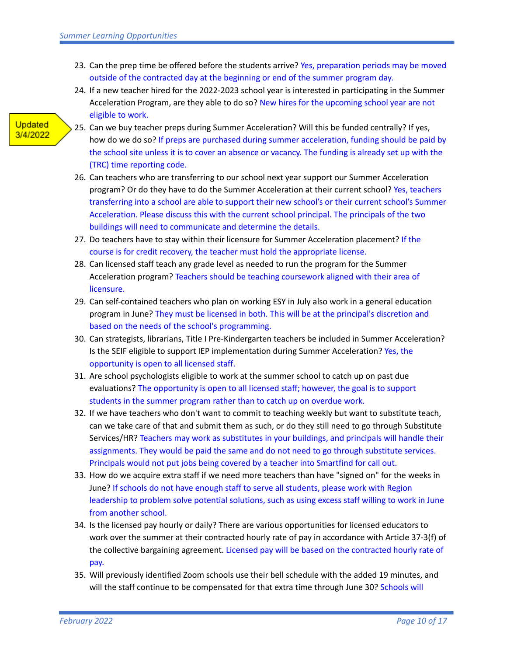- 23. Can the prep time be offered before the students arrive? Yes, preparation periods may be moved outside of the contracted day at the beginning or end of the summer program day.
- 24. If a new teacher hired for the 2022-2023 school year is interested in participating in the Summer Acceleration Program, are they able to do so? New hires for the upcoming school year are not eligible to work.

- 25. Can we buy teacher preps during Summer Acceleration? Will this be funded centrally? If yes, how do we do so? If preps are purchased during summer acceleration, funding should be paid by the school site unless it is to cover an absence or vacancy. The funding is already set up with the (TRC) time reporting code.
- 26. Can teachers who are transferring to our school next year support our Summer Acceleration program? Or do they have to do the Summer Acceleration at their current school? Yes, teachers transferring into a school are able to support their new school's or their current school's Summer Acceleration. Please discuss this with the current school principal. The principals of the two buildings will need to communicate and determine the details.
- 27. Do teachers have to stay within their licensure for Summer Acceleration placement? If the course is for credit recovery, the teacher must hold the appropriate license.
- 28. Can licensed staff teach any grade level as needed to run the program for the Summer Acceleration program? Teachers should be teaching coursework aligned with their area of licensure.
- 29. Can self-contained teachers who plan on working ESY in July also work in a general education program in June? They must be licensed in both. This will be at the principal's discretion and based on the needs of the school's programming.
- 30. Can strategists, librarians, Title I Pre-Kindergarten teachers be included in Summer Acceleration? Is the SEIF eligible to support IEP implementation during Summer Acceleration? Yes, the opportunity is open to all licensed staff.
- 31. Are school psychologists eligible to work at the summer school to catch up on past due evaluations? The opportunity is open to all licensed staff; however, the goal is to support students in the summer program rather than to catch up on overdue work.
- 32. If we have teachers who don't want to commit to teaching weekly but want to substitute teach, can we take care of that and submit them as such, or do they still need to go through Substitute Services/HR? Teachers may work as substitutes in your buildings, and principals will handle their assignments. They would be paid the same and do not need to go through substitute services. Principals would not put jobs being covered by a teacher into Smartfind for call out.
- 33. How do we acquire extra staff if we need more teachers than have "signed on" for the weeks in June? If schools do not have enough staff to serve all students, please work with Region leadership to problem solve potential solutions, such as using excess staff willing to work in June from another school.
- 34. Is the licensed pay hourly or daily? There are various opportunities for licensed educators to work over the summer at their contracted hourly rate of pay in accordance with Article 37-3(f) of the collective bargaining agreement. Licensed pay will be based on the contracted hourly rate of pay.
- 35. Will previously identified Zoom schools use their bell schedule with the added 19 minutes, and will the staff continue to be compensated for that extra time through June 30? Schools will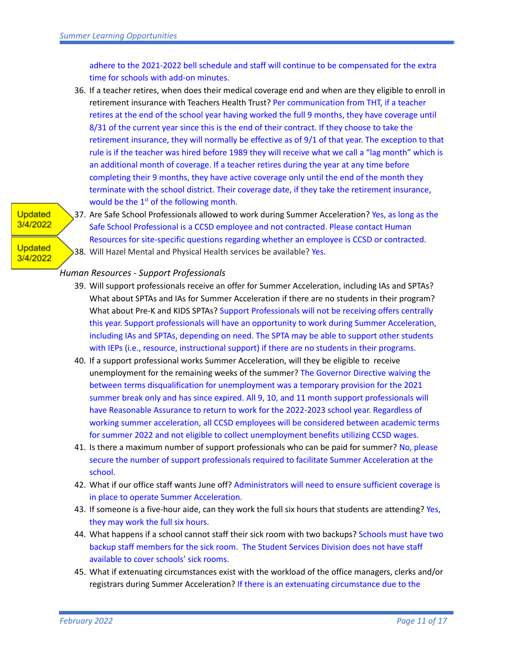adhere to the 2021-2022 bell schedule and staff will continue to be compensated for the extra time for schools with add-on minutes.

36. If a teacher retires, when does their medical coverage end and when are they eligible to enroll in retirement insurance with Teachers Health Trust? Per communication from THT, if a teacher retires at the end of the school year having worked the full 9 months, they have coverage until 8/31 of the current year since this is the end of their contract. If they choose to take the retirement insurance, they will normally be effective as of 9/1 of that year. The exception to that rule is if the teacher was hired before 1989 they will receive what we call a "lag month" which is an additional month of coverage. If a teacher retires during the year at any time before completing their 9 months, they have active coverage only until the end of the month they terminate with the school district. Their coverage date, if they take the retirement insurance, would be the  $1<sup>st</sup>$  of the following month.

# **Updated** 3/4/2022

**Updated** 3/4/2022 37. Are Safe School Professionals allowed to work during Summer Acceleration? Yes, as long as the Safe School Professional is a CCSD employee and not contracted. Please contact Human Resources for site-specific questions regarding whether an employee is CCSD or contracted. 38. Will Hazel Mental and Physical Health services be available? Yes.

### *Human Resources - Support Professionals*

- 39. Will support professionals receive an offer for Summer Acceleration, including IAs and SPTAs? What about SPTAs and IAs for Summer Acceleration if there are no students in their program? What about Pre-K and KIDS SPTAs? Support Professionals will not be receiving offers centrally this year. Support professionals will have an opportunity to work during Summer Acceleration, including IAs and SPTAs, depending on need. The SPTA may be able to support other students with IEPs (i.e., resource, instructional support) if there are no students in their programs.
- 40. If a support professional works Summer Acceleration, will they be eligible to receive unemployment for the remaining weeks of the summer? The Governor Directive waiving the between terms disqualification for unemployment was a temporary provision for the 2021 summer break only and has since expired. All 9, 10, and 11 month support professionals will have Reasonable Assurance to return to work for the 2022-2023 school year. Regardless of working summer acceleration, all CCSD employees will be considered between academic terms for summer 2022 and not eligible to collect unemployment benefits utilizing CCSD wages.
- 41. Is there a maximum number of support professionals who can be paid for summer? No, please secure the number of support professionals required to facilitate Summer Acceleration at the school.
- 42. What if our office staff wants June off? Administrators will need to ensure sufficient coverage is in place to operate Summer Acceleration.
- 43. If someone is a five-hour aide, can they work the full six hours that students are attending? Yes, they may work the full six hours.
- 44. What happens if a school cannot staff their sick room with two backups? Schools must have two backup staff members for the sick room. The Student Services Division does not have staff available to cover schools' sick rooms.
- 45. What if extenuating circumstances exist with the workload of the office managers, clerks and/or registrars during Summer Acceleration? If there is an extenuating circumstance due to the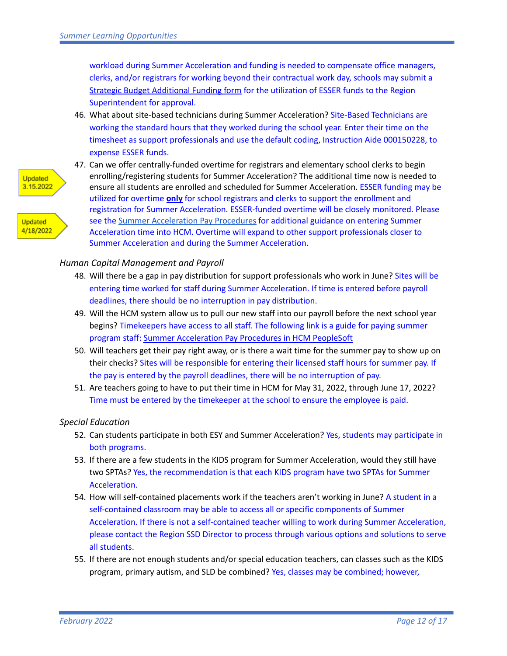workload during Summer Acceleration and funding is needed to compensate office managers, clerks, and/or registrars for working beyond their contractual work day, schools may submit a Strategic Budget [Additional](https://training.ccsd.net/wp-content/uploads/2020/01/strategic-budget-add-on-approval-form-fy21.xlsx) Funding form for the utilization of ESSER funds to the Region Superintendent for approval.

46. What about site-based technicians during Summer Acceleration? Site-Based Technicians are working the standard hours that they worked during the school year. Enter their time on the timesheet as support professionals and use the default coding, Instruction Aide 000150228, to expense ESSER funds.



**Updated** 4/18/2022



### *Human Capital Management and Payroll*

- 48. Will there be a gap in pay distribution for support professionals who work in June? Sites will be entering time worked for staff during Summer Acceleration. If time is entered before payroll deadlines, there should be no interruption in pay distribution.
- 49. Will the HCM system allow us to pull our new staff into our payroll before the next school year begins? Timekeepers have access to all staff. The following link is a guide for paying summer program staff: Summer [Acceleration](https://docs.google.com/document/d/1owvCqTKvNx9F8J4BL-iaSoWdivQQexAN/edit?usp=sharing&ouid=110467928481604433953&rtpof=true&sd=true) Pay Procedures in HCM PeopleSoft
- 50. Will teachers get their pay right away, or is there a wait time for the summer pay to show up on their checks? Sites will be responsible for entering their licensed staff hours for summer pay. If the pay is entered by the payroll deadlines, there will be no interruption of pay.
- 51. Are teachers going to have to put their time in HCM for May 31, 2022, through June 17, 2022? Time must be entered by the timekeeper at the school to ensure the employee is paid.

### *Special Education*

- 52. Can students participate in both ESY and Summer Acceleration? Yes, students may participate in both programs.
- 53. If there are a few students in the KIDS program for Summer Acceleration, would they still have two SPTAs? Yes, the recommendation is that each KIDS program have two SPTAs for Summer Acceleration.
- 54. How will self-contained placements work if the teachers aren't working in June? A student in a self-contained classroom may be able to access all or specific components of Summer Acceleration. If there is not a self-contained teacher willing to work during Summer Acceleration, please contact the Region SSD Director to process through various options and solutions to serve all students.
- 55. If there are not enough students and/or special education teachers, can classes such as the KIDS program, primary autism, and SLD be combined? Yes, classes may be combined; however,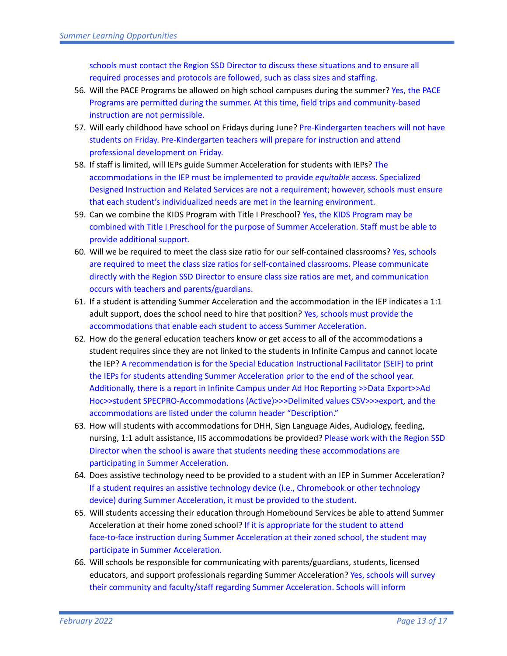schools must contact the Region SSD Director to discuss these situations and to ensure all required processes and protocols are followed, such as class sizes and staffing.

- 56. Will the PACE Programs be allowed on high school campuses during the summer? Yes, the PACE Programs are permitted during the summer. At this time, field trips and community-based instruction are not permissible.
- 57. Will early childhood have school on Fridays during June? Pre-Kindergarten teachers will not have students on Friday. Pre-Kindergarten teachers will prepare for instruction and attend professional development on Friday.
- 58. If staff is limited, will IEPs guide Summer Acceleration for students with IEPs? The accommodations in the IEP must be implemented to provide *equitable* access. Specialized Designed Instruction and Related Services are not a requirement; however, schools must ensure that each student's individualized needs are met in the learning environment.
- 59. Can we combine the KIDS Program with Title I Preschool? Yes, the KIDS Program may be combined with Title I Preschool for the purpose of Summer Acceleration. Staff must be able to provide additional support.
- 60. Will we be required to meet the class size ratio for our self-contained classrooms? Yes, schools are required to meet the class size ratios for self-contained classrooms. Please communicate directly with the Region SSD Director to ensure class size ratios are met, and communication occurs with teachers and parents/guardians.
- 61. If a student is attending Summer Acceleration and the accommodation in the IEP indicates a 1:1 adult support, does the school need to hire that position? Yes, schools must provide the accommodations that enable each student to access Summer Acceleration.
- 62. How do the general education teachers know or get access to all of the accommodations a student requires since they are not linked to the students in Infinite Campus and cannot locate the IEP? A recommendation is for the Special Education Instructional Facilitator (SEIF) to print the IEPs for students attending Summer Acceleration prior to the end of the school year. Additionally, there is a report in Infinite Campus under Ad Hoc Reporting >>Data Export>>Ad Hoc>>student SPECPRO-Accommodations (Active)>>>Delimited values CSV>>>export, and the accommodations are listed under the column header "Description."
- 63. How will students with accommodations for DHH, Sign Language Aides, Audiology, feeding, nursing, 1:1 adult assistance, IIS accommodations be provided? Please work with the Region SSD Director when the school is aware that students needing these accommodations are participating in Summer Acceleration.
- 64. Does assistive technology need to be provided to a student with an IEP in Summer Acceleration? If a student requires an assistive technology device (i.e., Chromebook or other technology device) during Summer Acceleration, it must be provided to the student.
- 65. Will students accessing their education through Homebound Services be able to attend Summer Acceleration at their home zoned school? If it is appropriate for the student to attend face-to-face instruction during Summer Acceleration at their zoned school, the student may participate in Summer Acceleration.
- 66. Will schools be responsible for communicating with parents/guardians, students, licensed educators, and support professionals regarding Summer Acceleration? Yes, schools will survey their community and faculty/staff regarding Summer Acceleration. Schools will inform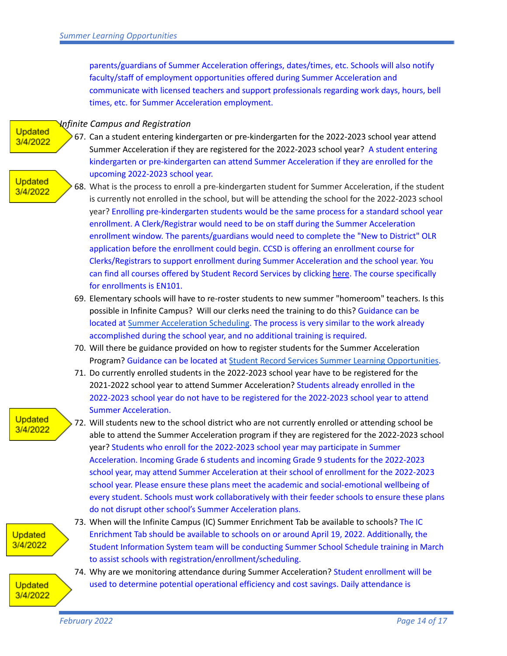parents/guardians of Summer Acceleration offerings, dates/times, etc. Schools will also notify faculty/staff of employment opportunities offered during Summer Acceleration and communicate with licensed teachers and support professionals regarding work days, hours, bell times, etc. for Summer Acceleration employment.

#### *Infinite Campus and Registration*

- **Updated** 3/4/2022
- 67. Can a student entering kindergarten or pre-kindergarten for the 2022-2023 school year attend Summer Acceleration if they are registered for the 2022-2023 school year? A student entering kindergarten or pre-kindergarten can attend Summer Acceleration if they are enrolled for the upcoming 2022-2023 school year.

#### **Updated** 3/4/2022

- 68. What is the process to enroll a pre-kindergarten student for Summer Acceleration, if the student is currently not enrolled in the school, but will be attending the school for the 2022-2023 school year? Enrolling pre-kindergarten students would be the same process for a standard school year enrollment. A Clerk/Registrar would need to be on staff during the Summer Acceleration enrollment window. The parents/guardians would need to complete the "New to District" OLR application before the enrollment could begin. CCSD is offering an enrollment course for Clerks/Registrars to support enrollment during Summer Acceleration and the school year. You can find all courses offered by Student Record Services by clicking [here](https://sites.google.com/nv.ccsd.net/student-record-services/training-materials/srs-academy?authuser=0). The course specifically for enrollments is EN101.
- 69. Elementary schools will have to re-roster students to new summer "homeroom" teachers. Is this possible in Infinite Campus? Will our clerks need the training to do this? Guidance can be located at Summer [Acceleration](https://drive.google.com/file/d/1MA4SBd6RR0ZImjd7RjYmfw3sKXl0okAu/view) Scheduling. The process is very similar to the work already accomplished during the school year, and no additional training is required.
- 70. Will there be guidance provided on how to register students for the Summer Acceleration Program? Guidance can be located at Student Record Services Summer Learning [Opportunities.](https://sites.google.com/nv.ccsd.net/student-record-services/resources/summer-learning-opportunities)
- 71. Do currently enrolled students in the 2022-2023 school year have to be registered for the 2021-2022 school year to attend Summer Acceleration? Students already enrolled in the 2022-2023 school year do not have to be registered for the 2022-2023 school year to attend Summer Acceleration.

### **Updated** 3/4/2022

72. Will students new to the school district who are not currently enrolled or attending school be able to attend the Summer Acceleration program if they are registered for the 2022-2023 school year? Students who enroll for the 2022-2023 school year may participate in Summer Acceleration. Incoming Grade 6 students and incoming Grade 9 students for the 2022-2023 school year, may attend Summer Acceleration at their school of enrollment for the 2022-2023 school year. Please ensure these plans meet the academic and social-emotional wellbeing of every student. Schools must work collaboratively with their feeder schools to ensure these plans do not disrupt other school's Summer Acceleration plans.

# **Updated** 3/4/2022

- 73. When will the Infinite Campus (IC) Summer Enrichment Tab be available to schools? The IC Enrichment Tab should be available to schools on or around April 19, 2022. Additionally, the Student Information System team will be conducting Summer School Schedule training in March to assist schools with registration/enrollment/scheduling.
- 74. Why are we monitoring attendance during Summer Acceleration? Student enrollment will be used to determine potential operational efficiency and cost savings. Daily attendance is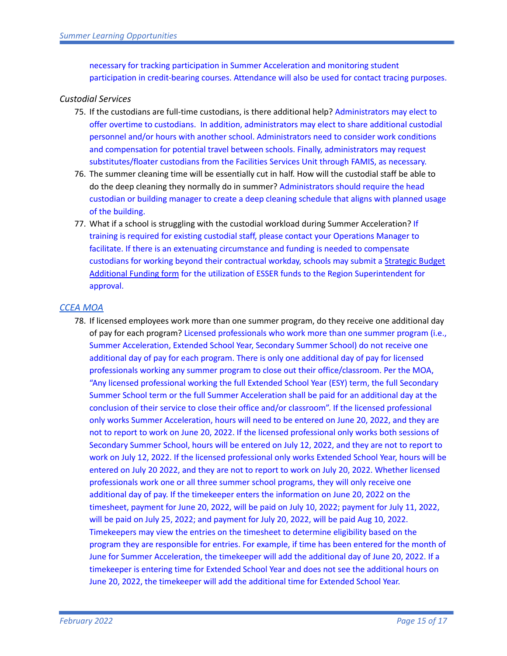necessary for tracking participation in Summer Acceleration and monitoring student participation in credit-bearing courses. Attendance will also be used for contact tracing purposes.

## *Custodial Services*

- 75. If the custodians are full-time custodians, is there additional help? Administrators may elect to offer overtime to custodians. In addition, administrators may elect to share additional custodial personnel and/or hours with another school. Administrators need to consider work conditions and compensation for potential travel between schools. Finally, administrators may request substitutes/floater custodians from the Facilities Services Unit through FAMIS, as necessary.
- 76. The summer cleaning time will be essentially cut in half. How will the custodial staff be able to do the deep cleaning they normally do in summer? Administrators should require the head custodian or building manager to create a deep cleaning schedule that aligns with planned usage of the building.
- 77. What if a school is struggling with the custodial workload during Summer Acceleration? If training is required for existing custodial staff, please contact your Operations Manager to facilitate. If there is an extenuating circumstance and funding is needed to compensate custodians for working beyond their contractual workday, schools may submit a [Strategic](https://training.ccsd.net/wp-content/uploads/2020/01/strategic-budget-add-on-approval-form-fy21.xlsx) Budget [Additional](https://training.ccsd.net/wp-content/uploads/2020/01/strategic-budget-add-on-approval-form-fy21.xlsx) Funding form for the utilization of ESSER funds to the Region Superintendent for approval.

# *[CCEA MOA](https://drive.google.com/file/d/1uIqFFwXz_WsIgE71MNK3cueoRAiU43WP/view?usp=sharing)*

78. If licensed employees work more than one summer program, do they receive one additional day of pay for each program? Licensed professionals who work more than one summer program (i.e., Summer Acceleration, Extended School Year, Secondary Summer School) do not receive one additional day of pay for each program. There is only one additional day of pay for licensed professionals working any summer program to close out their office/classroom. Per the MOA, "Any licensed professional working the full Extended School Year (ESY) term, the full Secondary Summer School term or the full Summer Acceleration shall be paid for an additional day at the conclusion of their service to close their office and/or classroom". If the licensed professional only works Summer Acceleration, hours will need to be entered on June 20, 2022, and they are not to report to work on June 20, 2022. If the licensed professional only works both sessions of Secondary Summer School, hours will be entered on July 12, 2022, and they are not to report to work on July 12, 2022. If the licensed professional only works Extended School Year, hours will be entered on July 20 2022, and they are not to report to work on July 20, 2022. Whether licensed professionals work one or all three summer school programs, they will only receive one additional day of pay. If the timekeeper enters the information on June 20, 2022 on the timesheet, payment for June 20, 2022, will be paid on July 10, 2022; payment for July 11, 2022, will be paid on July 25, 2022; and payment for July 20, 2022, will be paid Aug 10, 2022. Timekeepers may view the entries on the timesheet to determine eligibility based on the program they are responsible for entries. For example, if time has been entered for the month of June for Summer Acceleration, the timekeeper will add the additional day of June 20, 2022. If a timekeeper is entering time for Extended School Year and does not see the additional hours on June 20, 2022, the timekeeper will add the additional time for Extended School Year.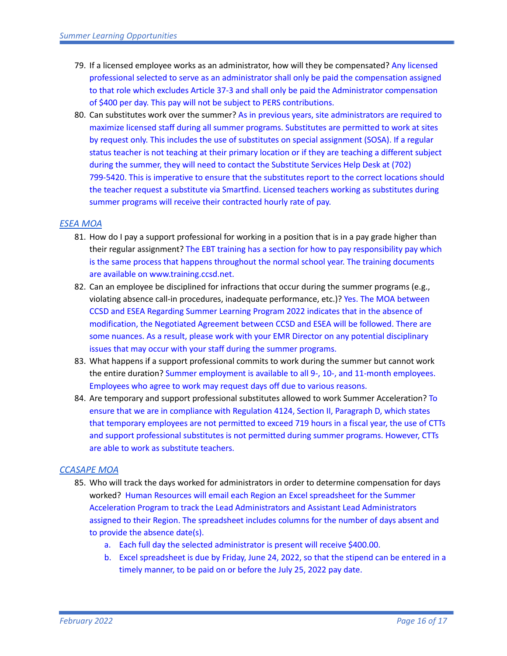- 79. If a licensed employee works as an administrator, how will they be compensated? Any licensed professional selected to serve as an administrator shall only be paid the compensation assigned to that role which excludes Article 37-3 and shall only be paid the Administrator compensation of \$400 per day. This pay will not be subject to PERS contributions.
- 80. Can substitutes work over the summer? As in previous years, site administrators are required to maximize licensed staff during all summer programs. Substitutes are permitted to work at sites by request only. This includes the use of substitutes on special assignment (SOSA). If a regular status teacher is not teaching at their primary location or if they are teaching a different subject during the summer, they will need to contact the Substitute Services Help Desk at (702) 799-5420. This is imperative to ensure that the substitutes report to the correct locations should the teacher request a substitute via Smartfind. Licensed teachers working as substitutes during summer programs will receive their contracted hourly rate of pay.

### *[ESEA MOA](https://drive.google.com/file/d/1PQmLEdeq2VKuoNyBGivNEjPpdCmAXp1P/view?usp=sharing)*

- 81. How do I pay a support professional for working in a position that is in a pay grade higher than their regular assignment? The EBT training has a section for how to pay responsibility pay which is the same process that happens throughout the normal school year. The training documents are available on www.training.ccsd.net.
- 82. Can an employee be disciplined for infractions that occur during the summer programs (e.g., violating absence call-in procedures, inadequate performance, etc.)? Yes. The MOA between CCSD and ESEA Regarding Summer Learning Program 2022 indicates that in the absence of modification, the Negotiated Agreement between CCSD and ESEA will be followed. There are some nuances. As a result, please work with your EMR Director on any potential disciplinary issues that may occur with your staff during the summer programs.
- 83. What happens if a support professional commits to work during the summer but cannot work the entire duration? Summer employment is available to all 9-, 10-, and 11-month employees. Employees who agree to work may request days off due to various reasons.
- 84. Are temporary and support professional substitutes allowed to work Summer Acceleration? To ensure that we are in compliance with Regulation 4124, Section II, Paragraph D, which states that temporary employees are not permitted to exceed 719 hours in a fiscal year, the use of CTTs and support professional substitutes is not permitted during summer programs. However, CTTs are able to work as substitute teachers.

#### *[CCASAPE MOA](https://drive.google.com/file/d/12hfWczQonvkGcgos4BgAItmYZIcB0sf5/view?usp=sharing)*

- 85. Who will track the days worked for administrators in order to determine compensation for days worked? Human Resources will email each Region an Excel spreadsheet for the Summer Acceleration Program to track the Lead Administrators and Assistant Lead Administrators assigned to their Region. The spreadsheet includes columns for the number of days absent and to provide the absence date(s).
	- a. Each full day the selected administrator is present will receive \$400.00.
	- b. Excel spreadsheet is due by Friday, June 24, 2022, so that the stipend can be entered in a timely manner, to be paid on or before the July 25, 2022 pay date.